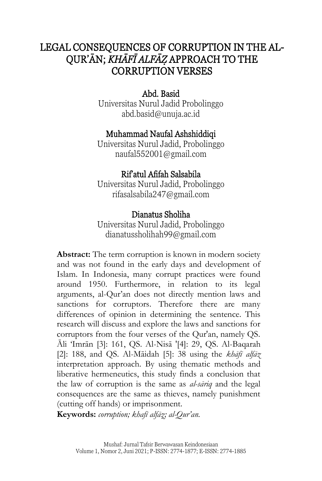# LEGAL CONSEQUENCES OF CORRUPTION IN THE AL-QUR'ĀN; *KHĀFĪ ALFĀZ*} APPROACH TO THE CORRUPTION VERSES

# Abd. Basid

Universitas Nurul Jadid Probolinggo [abd.basid@unuja.ac.id](mailto:abd.basid@unuja.ac.id)

# Muhammad Naufal Ashshiddiqi

Universitas Nurul Jadid, Probolinggo [naufal552001@gmail.com](mailto:naufal552001@gmail.com)

# Rif'atul Afifah Salsabila

Universitas Nurul Jadid, Probolinggo [rifasalsabila247@gmail.com](mailto:rifasalsabila247@gmail.com)

## Dianatus Sholiha

Universitas Nurul Jadid, Probolinggo [dianatussholihah99@gmail.com](mailto:dianatussholihah99@gmail.com)

**Abstract:** The term corruption is known in modern society and was not found in the early days and development of Islam. In Indonesia, many corrupt practices were found around 1950. Furthermore, in relation to its legal arguments, al-Qur'an does not directly mention laws and sanctions for corruptors. Therefore there are many differences of opinion in determining the sentence. This research will discuss and explore the laws and sanctions for corruptors from the four verses of the Qur'an, namely QS. Āli 'Imrān [3]: 161, QS. Al-Nisā '[4]: 29, QS. Al-Baqarah [2]: 188, and QS. Al-Māidah [5]: 38 using the *khāfī alfāz*  interpretation approach. By using thematic methods and liberative hermeneutics, this study finds a conclusion that the law of corruption is the same as *al-sāriq* and the legal consequences are the same as thieves, namely punishment (cutting off hands) or imprisonment.

**Keywords:** *corruption; khafī alfāz*}*; al-Qur'an.*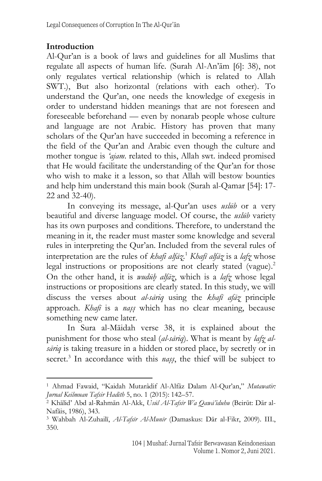### **Introduction**

Al-Qur'an is a book of laws and guidelines for all Muslims that regulate all aspects of human life. (Surah Al-An'ām [6]: 38), not only regulates vertical relationship (which is related to Allah SWT.), But also horizontal (relations with each other). To understand the Qur'an, one needs the knowledge of exegesis in order to understand hidden meanings that are not foreseen and foreseeable beforehand — even by nonarab people whose culture and language are not Arabic. History has proven that many scholars of the Qur'an have succeeded in becoming a reference in the field of the Qur'an and Arabic even though the culture and mother tongue is *'ajam*. related to this, Allah swt. indeed promised that He would facilitate the understanding of the Qur'an for those who wish to make it a lesson, so that Allah will bestow bounties and help him understand this main book (Surah al-Qamar [54]: 17- 22 and 32-40).

In conveying its message, al-Qur'an uses *uslūb* or a very beautiful and diverse language model. Of course, the *uslūb* variety has its own purposes and conditions. Therefore, to understand the meaning in it, the reader must master some knowledge and several rules in interpreting the Qur'an. Included from the several rules of interpretation are the rules of *khafi alfāz*}. <sup>1</sup> *Khafī alfāz*} is a *lafz*} whose legal instructions or propositions are not clearly stated (vague).<sup>2</sup> On the other hand, it is *wudūh*} *alfāz*}, which is a *lafz*} whose legal instructions or propositions are clearly stated. In this study, we will discuss the verses about *al-sāriq* using the *khafī afāz*} principle approach. *Khafī* is a *nass* which has no clear meaning, because something new came later.

In Sura al-Māidah verse 38, it is explained about the punishment for those who steal (*al-sāriq*). What is meant by *lafz alsāriq* is taking treasure in a hidden or stored place, by secretly or in secret.<sup>3</sup> In accordance with this *nass*, the thief will be subject to

<sup>1</sup> Ahmad Fawaid, "Kaidah Mutarâdif Al-Alfâz Dalam Al-Qur'an," *Mutawatir: Jurnal Keilmuan Tafsir Hadith* 5, no. 1 (2015): 142–57.

<sup>2</sup> Khālid' Abd al-Rahmān Al-Akk, *Usūl Al-Tafsīr Wa Qawā'iduhu* (Beirūt: Dār al-Nafāis, 1986), 343.

<sup>3</sup> Wahbah Al-Zuhailī, *Al-Tafsīr Al-Munīr* (Damaskus: Dār al-Fikr, 2009). III., 350.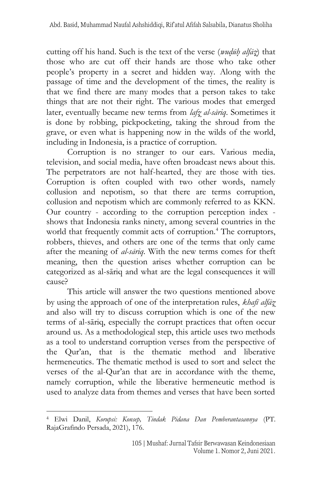cutting off his hand. Such is the text of the verse (*wudūh alfāz*) that those who are cut off their hands are those who take other people's property in a secret and hidden way. Along with the passage of time and the development of the times, the reality is that we find there are many modes that a person takes to take things that are not their right. The various modes that emerged later, eventually became new terms from *lafz*} *al-sāriq*. Sometimes it is done by robbing, pickpocketing, taking the shroud from the grave, or even what is happening now in the wilds of the world, including in Indonesia, is a practice of corruption.

Corruption is no stranger to our ears. Various media, television, and social media, have often broadcast news about this. The perpetrators are not half-hearted, they are those with ties. Corruption is often coupled with two other words, namely collusion and nepotism, so that there are terms corruption, collusion and nepotism which are commonly referred to as KKN. Our country - according to the corruption perception index shows that Indonesia ranks ninety, among several countries in the world that frequently commit acts of corruption.<sup>4</sup> The corruptors, robbers, thieves, and others are one of the terms that only came after the meaning of *al-sāriq*. With the new terms comes for theft meaning, then the question arises whether corruption can be categorized as al-sāriq and what are the legal consequences it will cause?

This article will answer the two questions mentioned above by using the approach of one of the interpretation rules, *khafī alfāz*} and also will try to discuss corruption which is one of the new terms of al-sāriq, especially the corrupt practices that often occur around us. As a methodological step, this article uses two methods as a tool to understand corruption verses from the perspective of the Qur'an, that is the thematic method and liberative hermeneutics. The thematic method is used to sort and select the verses of the al-Qur'an that are in accordance with the theme, namely corruption, while the liberative hermeneutic method is used to analyze data from themes and verses that have been sorted

<sup>4</sup> Elwi Danil, *Korupsi: Konsep, Tindak Pidana Dan Pemberantasannya* (PT. RajaGrafindo Persada, 2021), 176.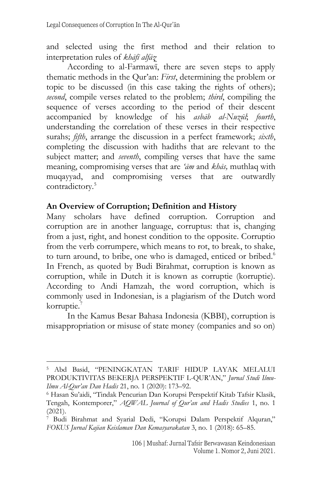and selected using the first method and their relation to interpretation rules of *khāfī alfāz*}

According to al-Farmawī, there are seven steps to apply thematic methods in the Qur'an: *First*, determining the problem or topic to be discussed (in this case taking the rights of others); *second*, compile verses related to the problem; *third*, compiling the sequence of verses according to the period of their descent accompanied by knowledge of his *asbāb al-Nuzūl*; *fourth*, understanding the correlation of these verses in their respective surahs; *fifth*, arrange the discussion in a perfect framework; *sixth*, completing the discussion with hadiths that are relevant to the subject matter; and *seventh*, compiling verses that have the same meaning, compromising verses that are *'ām* and *khās,* muthlaq with muqayyad, and compromising verses that are outwardly contradictory.<sup>5</sup>

#### **An Overview of Corruption; Definition and History**

Many scholars have defined corruption. Corruption and corruption are in another language, corruptus: that is, changing from a just, right, and honest condition to the opposite. Corruptio from the verb corrumpere, which means to rot, to break, to shake, to turn around, to bribe, one who is damaged, enticed or bribed.<sup>6</sup> In French, as quoted by Budi Birahmat, corruption is known as corruption, while in Dutch it is known as corruptie (korruptie). According to Andi Hamzah, the word corruption, which is commonly used in Indonesian, is a plagiarism of the Dutch word korruptie.<sup>7</sup>

In the Kamus Besar Bahasa Indonesia (KBBI), corruption is misappropriation or misuse of state money (companies and so on)

<sup>5</sup> Abd Basid, "PENINGKATAN TARIF HIDUP LAYAK MELALUI PRODUKTIVITAS BEKERJA PERSPEKTIF L-QUR'AN," *Jurnal Studi Ilmu-Ilmu Al-Qur'an Dan Hadis* 21, no. 1 (2020): 173–92.

<sup>6</sup> Hasan Su'aidi, "Tindak Pencurian Dan Korupsi Perspektif Kitab Tafsir Klasik, Tengah, Kontemporer," *AQWAL Journal of Qur'an and Hadis Studies* 1, no. 1 (2021).

<sup>7</sup> Budi Birahmat and Syarial Dedi, "Korupsi Dalam Perspektif Alquran," *FOKUS Jurnal Kajian Keislaman Dan Kemasyarakatan* 3, no. 1 (2018): 65–85.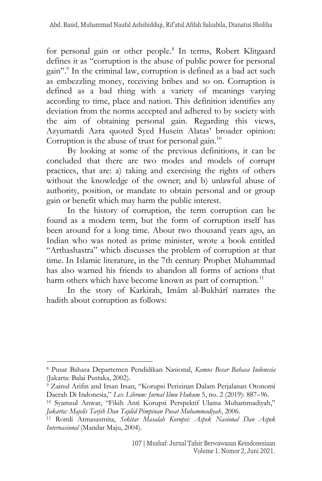for personal gain or other people.<sup>8</sup> In terms, Robert Klitgaard defines it as "corruption is the abuse of public power for personal gain". 9 In the criminal law, corruption is defined as a bad act such as embezzling money, receiving bribes and so on. Corruption is defined as a bad thing with a variety of meanings varying according to time, place and nation. This definition identifies any deviation from the norms accepted and adhered to by society with the aim of obtaining personal gain. Regarding this views, Azyumardi Azra quoted Syed Husein Alatas' broader opinion: Corruption is the abuse of trust for personal gain.<sup>10</sup>

By looking at some of the previous definitions, it can be concluded that there are two modes and models of corrupt practices, that are: a) taking and exercising the rights of others without the knowledge of the owner; and b) unlawful abuse of authority, position, or mandate to obtain personal and or group gain or benefit which may harm the public interest.

In the history of corruption, the term corruption can be found as a modern term, but the form of corruption itself has been around for a long time. About two thousand years ago, an Indian who was noted as prime minister, wrote a book entitled "Arthashastra" which discusses the problem of corruption at that time. In Islamic literature, in the 7th century Prophet Muhammad has also warned his friends to abandon all forms of actions that harm others which have become known as part of corruption.<sup>11</sup>

In the story of Karkirah, Imām al-Bukhārī narrates the hadith about corruption as follows:

<sup>8</sup> Pusat Bahasa Departemen Pendidikan Nasional, *Kamus Besar Bahasa Indonesia* (Jakarta: Balai Pustaka, 2002).

<sup>9</sup> Zainul Arifin and Irsan Irsan, "Korupsi Perizinan Dalam Perjalanan Otonomi Daerah Di Indonesia," *Lex Librum: Jurnal Ilmu Hukum* 5, no. 2 (2019): 887–96.

<sup>10</sup> Syamsul Anwar, "Fikih Anti Korupsi Perspektif Ulama Muhammadiyah," *Jakarta: Majelis Tarjih Dan Tajdid Pimpinan Pusat Muhammadiyah*, 2006.

<sup>11</sup> Romli Atmasasmita, *Sekitar Masalah Korupsi: Aspek Nasional Dan Aspek Internasional* (Mandar Maju, 2004).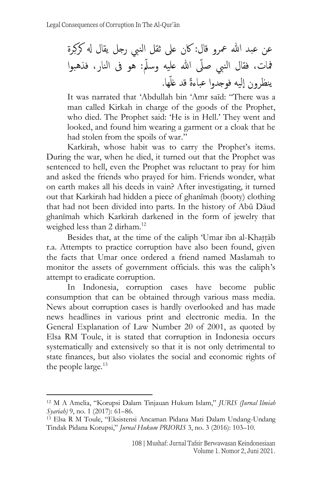عن عبد هللا معرو قال: اكن عىل ثقل النيب رجل يقال هل كرِكرة مفات، فقال النيب صىىل هللا عليه وسىّل: هو ىف النار، فذهبوا ها ى ينظرون اليه فوجدوا عباءًة قد غل .

It was narrated that 'Abdullah bin 'Amr saīd: "There was a man called Kirkah in charge of the goods of the Prophet, who died. The Prophet said: 'He is in Hell.' They went and looked, and found him wearing a garment or a cloak that he had stolen from the spoils of war."

Karkirah, whose habit was to carry the Prophet's items. During the war, when he died, it turned out that the Prophet was sentenced to hell, even the Prophet was reluctant to pray for him and asked the friends who prayed for him. Friends wonder, what on earth makes all his deeds in vain? After investigating, it turned out that Karkirah had hidden a piece of ghanīmah (booty) clothing that had not been divided into parts. In the history of Abū Dāud ghanīmah which Karkirah darkened in the form of jewelry that weighed less than 2 dirham.<sup>12</sup>

Besides that, at the time of the caliph 'Umar ibn al-Khattāb r.a. Attempts to practice corruption have also been found, given the facts that Umar once ordered a friend named Maslamah to monitor the assets of government officials. this was the caliph's attempt to eradicate corruption.

In Indonesia, corruption cases have become public consumption that can be obtained through various mass media. News about corruption cases is hardly overlooked and has made news headlines in various print and electronic media. In the General Explanation of Law Number 20 of 2001, as quoted by Elsa RM Toule, it is stated that corruption in Indonesia occurs systematically and extensively so that it is not only detrimental to state finances, but also violates the social and economic rights of the people large.<sup>13</sup>

<sup>12</sup> M A Amelia, "Korupsi Dalam Tinjauan Hukum Islam," *JURIS (Jurnal Ilmiah Syariah)* 9, no. 1 (2017): 61–86.

<sup>13</sup> Elsa R M Toule, "Eksistensi Ancaman Pidana Mati Dalam Undang-Undang Tindak Pidana Korupsi," *Jurnal Hukum PRIORIS* 3, no. 3 (2016): 103–10.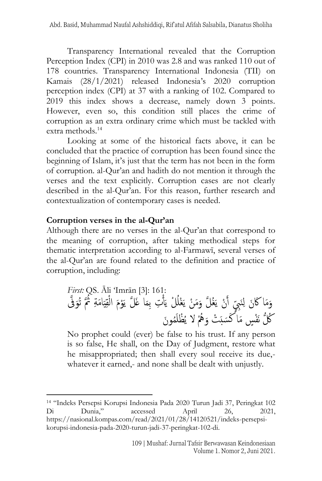Transparency International revealed that the Corruption Perception Index (CPI) in 2010 was 2.8 and was ranked 110 out of 178 countries. Transparency International Indonesia (TII) on Kamais (28/1/2021) released Indonesia's 2020 corruption perception index (CPI) at 37 with a ranking of 102. Compared to 2019 this index shows a decrease, namely down 3 points. However, even so, this condition still places the crime of corruption as an extra ordinary crime which must be tackled with extra methods.<sup>14</sup>

Looking at some of the historical facts above, it can be concluded that the practice of corruption has been found since the beginning of Islam, it's just that the term has not been in the form of corruption. al-Qur'an and hadith do not mention it through the verses and the text explicitly. Corruption cases are not clearly described in the al-Qur'an. For this reason, further research and contextualization of contemporary cases is needed.

#### **Corruption verses in the al-Qur'an**

Although there are no verses in the al-Qur'an that correspond to the meaning of corruption, after taking methodical steps for thematic interpretation according to al-Farmawī, several verses of the al-Qur'an are found related to the definition and practice of corruption, including:

*First:* QS. Āli 'Imrān [3]: 161: َّىف َ َّ تُو اَمةِ ُثُ َ ي قِ ْ َْوَم ال ا غَ َّل ي َ ْ ِت ِبم َأ ْل ي ُ ْغل َ َ َم ْن ي ُغ َّل و َ ْن ي َ أ نَِيبٍّى ِ َ َما َاكَن ل و ُوَن م َ ْظل ُ ُُهْ ال ي َ َسبَ ْت و ُ ُُّك نَْف ٍّس َما كَ

No prophet could (ever) be false to his trust. If any person is so false, He shall, on the Day of Judgment, restore what he misappropriated; then shall every soul receive its due, whatever it earned,- and none shall be dealt with unjustly.

<sup>14</sup> "Indeks Persepsi Korupsi Indonesia Pada 2020 Turun Jadi 37, Peringkat 102 Di Dunia," accessed April 26, 2021, https://nasional.kompas.com/read/2021/01/28/14120521/indeks-persepsikorupsi-indonesia-pada-2020-turun-jadi-37-peringkat-102-di.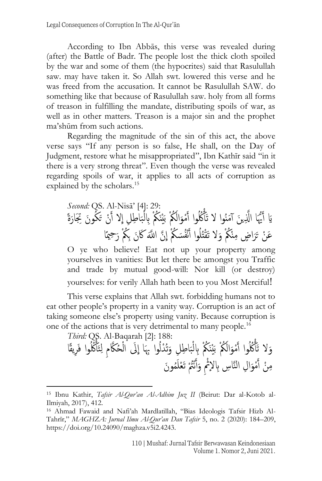According to Ibn Abbās, this verse was revealed during (after) the Battle of Badr. The people lost the thick cloth spoiled by the war and some of them (the hypocrites) said that Rasulullah saw. may have taken it. So Allah swt. lowered this verse and he was freed from the accusation. It cannot be Rasulullah SAW. do something like that because of Rasulullah saw. holy from all forms of treason in fulfilling the mandate, distributing spoils of war, as well as in other matters. Treason is a major sin and the prophet ma'shūm from such actions.

Regarding the magnitude of the sin of this act, the above verse says "If any person is so false, He shall, on the Day of Judgment, restore what he misappropriated", Ibn Kathīr said "in it there is a very strong threat". Even though the verse was revealed regarding spoils of war, it applies to all acts of corruption as explained by the scholars.<sup>15</sup>

*Second:* QS. Al-Nisā' [4]: 29: َ ُكوَن ِ َِتار َ ْن ت َ ال أ ِ ا ِطِل ا َ ب ْ ُ ُْك ِِبل َيْنَ ُ ُْك ب َ ال َ ْمو َ ُُُكوا أ ْ َمنُوا ال تَأ َن أ ي ََّّلِ ُّيَا ا َُّ ََي أ ةً َ ُوا أ َال تَْقتُل ُ ُْك و نْ ا ٍّض مِ َ ِح َع ْن ت ميًا َر َ ُ ُْك ر َّن ا َََّّلل َاكَنِب َسُ ُْك ا نُْف

غ<br>ا O ye who believe! Eat not up your property among yourselves in vanities: But let there be amongst you Traffic and trade by mutual good-will: Nor kill (or destroy) yourselves: for verily Allah hath been to you Most Merciful!

This verse explains that Allah swt. forbidding humans not to eat other people's property in a vanity way. Corruption is an act of taking someone else's property using vanity. Because corruption is one of the actions that is very detrimental to many people.<sup>16</sup>

*Third:* QS. Al-Baqarah [2]: 188:

ِريقًا ُُُكوا فَ ْ تَأ ِ ل ِ ُحََّّكم ْ ََل ال ِ ُوا ِِبَا ا تُ ْدل َ ا ِطِل و َ ب ْ ُ ُْك ِِبل َيْنَ ُ ُْك ب َ ال َ ْمو َ ُُُكوا أ ْ َال تَأ و ُ م َ تَ ْعل نُُْتْ َ أَ ِ و ا ِل النَّاِسِِب الُثْ َ ْمو َ ْن أم وَن ِ

<sup>15</sup> Ibnu Kathir, *Tafsir Al-Qur'an Al-Adhim Juz II* (Beirut: Dar al-Kotob al-Ilmiyah, 2017), 412.

<sup>16</sup> Ahmad Fawaid and Nafi'ah Mardlatillah, "Bias Ideologis Tafsir Hizb Al-Tahrīr," *MAGHZA: Jurnal Ilmu Al-Qur'an Dan Tafsir* 5, no. 2 (2020): 184–209, https://doi.org/10.24090/maghza.v5i2.4243.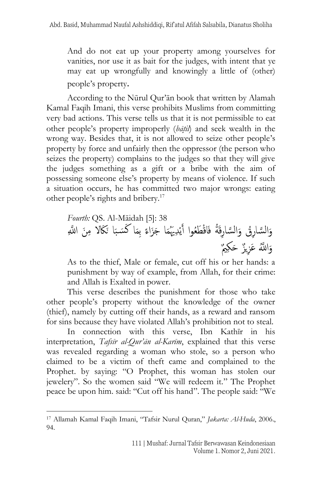And do not eat up your property among yourselves for vanities, nor use it as bait for the judges, with intent that ye may eat up wrongfully and knowingly a little of (other) people's property.

According to the Nūrul Qur'ān book that written by Alamah Kamal Faqih Imani, this verse prohibits Muslims from committing very bad actions. This verse tells us that it is not permissible to eat other people's property improperly (*bāt*}*il*) and seek wealth in the wrong way. Besides that, it is not allowed to seize other people's property by force and unfairly then the oppressor (the person who seizes the property) complains to the judges so that they will give the judges something as a gift or a bribe with the aim of possessing someone else's property by means of violence. If such a situation occurs, he has committed two major wrongs: eating other people's rights and bribery. 17

*Fourth:* QS. Al-Māidah [5]: 38 َن ا ََّّللِ ََّكال مِ َ ا ن َ َ ب ا كَس َ ِبم ً َجَزاء ا َ ِدَُّيُم ْ ي َ َّساِرقَُة فَاقْ َطُعوا أال َ َّساِرُق و ال َ و ا ََُّّلل َعِزيٌز َحِكٌي َ و

As to the thief, Male or female, cut off his or her hands: a punishment by way of example, from Allah, for their crime: and Allah is Exalted in power.

This verse describes the punishment for those who take other people's property without the knowledge of the owner (thief), namely by cutting off their hands, as a reward and ransom for sins because they have violated Allah's prohibition not to steal.

In connection with this verse, Ibn Kathīr in his interpretation, *Tafsīr al-Qur'ān al-Karīm*, explained that this verse was revealed regarding a woman who stole, so a person who claimed to be a victim of theft came and complained to the Prophet. by saying: "O Prophet, this woman has stolen our jewelery". So the women said "We will redeem it." The Prophet peace be upon him. said: "Cut off his hand". The people said: "We

<sup>17</sup> Allamah Kamal Faqih Imani, "Tafsir Nurul Quran," *Jakarta: Al-Huda*, 2006., 94.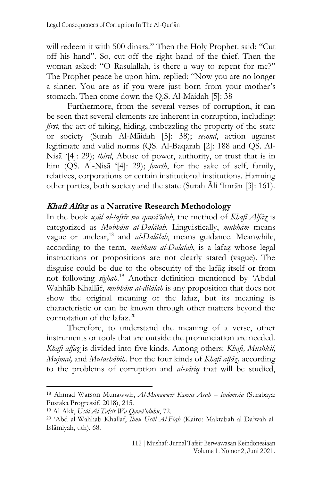will redeem it with 500 dinars." Then the Holy Prophet. said: "Cut off his hand". So, cut off the right hand of the thief. Then the woman asked: "O Rasulallah, is there a way to repent for me?" The Prophet peace be upon him. replied: "Now you are no longer a sinner. You are as if you were just born from your mother's stomach. Then come down the Q.S. Al-Māidah [5]: 38

Furthermore, from the several verses of corruption, it can be seen that several elements are inherent in corruption, including: *first*, the act of taking, hiding, embezzling the property of the state or society (Surah Al-Māidah [5]: 38); *second*, action against legitimate and valid norms (QS. Al-Baqarah [2]: 188 and QS. Al-Nisā '[4]: 29); *third*, Abuse of power, authority, or trust that is in him (QS. Al-Nisā '[4]: 29); *fourth*, for the sake of self, family, relatives, corporations or certain institutional institutions. Harming other parties, both society and the state (Surah Āli 'Imrān [3]: 161).

## **Khafī Alfāz**} **as a Narrative Research Methodology**

In the book *usūl al-tafsīr wa gawā'iduh*, the method of *Khafī Alfāz* is categorized as *Mubhām al-Dalālah*. Linguistically, *mubhām* means vague or unclear,<sup>18</sup> and *al-Dalālah*, means guidance. Meanwhile, according to the term, *mubhām al-Dalālah*, is a lafāz whose legal instructions or propositions are not clearly stated (vague). The disguise could be due to the obscurity of the lafaz itself or from not following *sīghah*. <sup>19</sup> Another definition mentioned by 'Abdul Wahhāb Khallāf, *mubhām al-dilālah* is any proposition that does not show the original meaning of the lafaz, but its meaning is characteristic or can be known through other matters beyond the connotation of the lafaz.<sup>20</sup>

Therefore, to understand the meaning of a verse, other instruments or tools that are outside the pronunciation are needed. *Khafī alfāz*} is divided into five kinds. Among others: *Khafī, Mushkil, Mujmal,* and *Mutashābih*. For the four kinds of *Khafī alfāz*}*,* according to the problems of corruption and *al-sāriq* that will be studied,

<sup>18</sup> Ahmad Warson Munawwir, *Al-Munawwir Kamus Arab – Indonesia* (Surabaya: Pustaka Progressif, 2018), 215.

<sup>19</sup> Al-Akk, *Usūl Al-Tafsīr Wa Qawā'iduhu*, 72.

<sup>20</sup> 'Abd al-Wahhab Khallaf, *Ilmu Usūl Al-Fiqh* (Kairo: Maktabah al-Da'wah al-Islāmiyah, t.th), 68.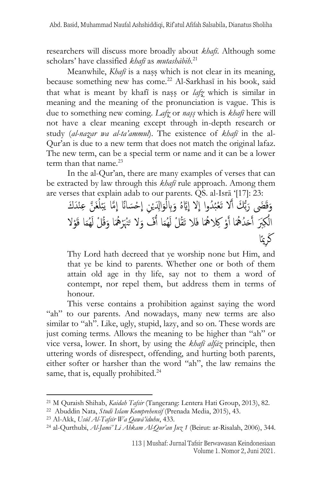researchers will discuss more broadly about *khafī*. Although some scholars' have classified *khafī* as *mutashābih*. 21

Meanwhile, *Khafī* is a nass which is not clear in its meaning, because something new has come.<sup>22</sup> Al-Sarkhasī in his book, said that what is meant by khafi is nass or *lafz* which is similar in meaning and the meaning of the pronunciation is vague. This is due to something new coming. *Lafz*} or *nas*}*s*} which is *khafī* here will not have a clear meaning except through in-depth research or study (*al-naz*}*ar wa al-ta'ammul*). The existence of *khafī* in the al-Qur'an is due to a new term that does not match the original lafaz. The new term, can be a special term or name and it can be a lower term than that name. $^{23}$ 

In the al-Qur'an, there are many examples of verses that can be extracted by law through this *khafī* rule approach. Among them are verses that explain adab to our parents. QS. al-Isrā '[17]: 23:

وَقَضَى رَبُّكَ أَلا تَعْبُدُوا إِلا إِيَّاهُ وَبِالْمَوَالِدَيْنِ إِحْسَانًا إِمَّا يَبْلُغَنَّ عِنْدَكَ اُ ل **ٔ** َب غ<br>اس نج<br>۔ َ ا<br>أ َ غِ<br>∙ غ<br>. و<br>م ده<br>با بر<br>بار <u>بر</u><br>م ة<br>م ا ة<br>م الُكِبَرَ أَحَدُهُمَا أَوْ كِلاهُمَا فَلا تَقُلْ لَهُمَا أُفَّ وَلا تَنْهَرْهُمَا وَقُلْ لَهُمَا قَوْلا <u>أ</u> أَم ة<br>أ ة<br>-أ<br>أ َ أأ كَرِيمًا

Thy Lord hath decreed that ye worship none but Him, and that ye be kind to parents. Whether one or both of them attain old age in thy life, say not to them a word of contempt, nor repel them, but address them in terms of honour.

This verse contains a prohibition against saying the word "ah" to our parents. And nowadays, many new terms are also similar to "ah". Like, ugly, stupid, lazy, and so on. These words are just coming terms. Allows the meaning to be higher than "ah" or vice versa, lower. In short, by using the *khafī alfāz* principle, then uttering words of disrespect, offending, and hurting both parents, either softer or harsher than the word "ah", the law remains the same, that is, equally prohibited.<sup>24</sup>

<sup>21</sup> M Quraish Shihab, *Kaidah Tafsir* (Tangerang: Lentera Hati Group, 2013), 82.

<sup>22</sup> Abuddin Nata, *Studi Islam Komprehensif* (Prenada Media, 2015), 43.

<sup>23</sup> Al-Akk, *Usūl Al-Tafsīr Wa Qawā'iduhu*, 433.

<sup>24</sup> al-Qurthubi, *Al-Jami' Li Ahkam Al-Qur'an Juz 1* (Beirut: ar-Risalah, 2006), 344.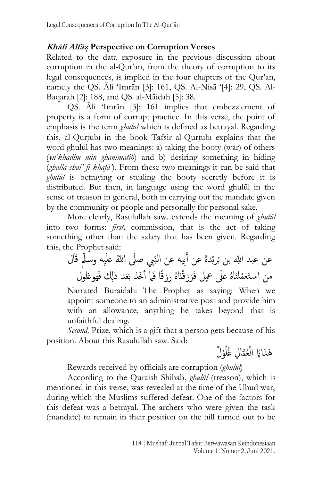### **Khāfī Alfāz**} **Perspective on Corruption Verses**

Related to the data exposure in the previous discussion about corruption in the al-Qur'an, from the theory of corruption to its legal consequences, is implied in the four chapters of the Qur'an, namely the QS. Āli 'Imrān [3]: 161, QS. Al-Nisā '[4]: 29, QS. Al-Baqarah [2]: 188, and QS. al-Māidah [5]: 38.

QS. Āli 'Imrān [3]: 161 implies that embezzlement of property is a form of corrupt practice. In this verse, the point of emphasis is the term *ghulul* which is defined as betrayal. Regarding this, al-Qurtubī in the book Tafsir al-Qurtubī explains that the word ghulūl has two meanings: a) taking the booty (war) of others (*yu'khadhu min ghanīmatih*) and b) desiring something in hiding (*ghalla shai' fī khafā'*). From these two meanings it can be said that *ghulūl* is betraying or stealing the booty secretly before it is distributed. But then, in language using the word ghulūl in the sense of treason in general, both in carrying out the mandate given by the community or people and personally for personal sake.

More clearly, Rasulullah saw. extends the meaning of *ghulūl* into two forms: *first,* commission, that is the act of taking something other than the salary that has been given. Regarding this, the Prophet said:

ِيب صىىل ا ىَُّلل ع َِبيه عن النى ْدَة عن أ ُري بن ب ال ِ ِيه وسىّل عن عبد ا ىَّلل قََ َ ل ُه رز نَا َزقْ ُه عَىل ٍّمعل فَر لنَا ََعد ذِِل فَهوغلول ْ من اس تَعم قًا فَام أ َخذ ب

Narrated Buraidah: The Prophet as saying: When we appoint someone to an administrative post and provide him with an allowance, anything he takes beyond that is unfaithful dealing.

*Second,* Prize, which is a gift that a person gets because of his position. About this Rasulullah saw. Said:

هَدَايَا الْعُمَّالِ غُلُوْلٌ اُ تہ<br>تم ْ

Rewards received by officials are corruption (*ghulūl*)

According to the Quraish Shihab, *ghulūl* (treason), which is mentioned in this verse, was revealed at the time of the Uhud war, during which the Muslims suffered defeat. One of the factors for this defeat was a betrayal. The archers who were given the task (mandate) to remain in their position on the hill turned out to be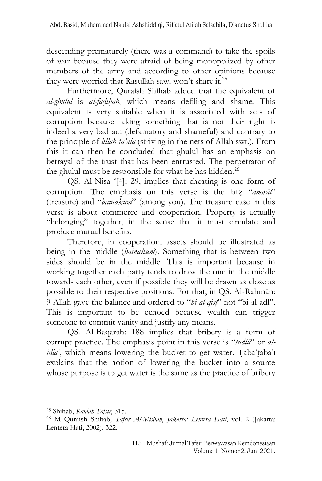descending prematurely (there was a command) to take the spoils of war because they were afraid of being monopolized by other members of the army and according to other opinions because they were worried that Rasullah saw. won't share it.<sup>25</sup>

Furthermore, Quraish Shihab added that the equivalent of *al-ghulūl* is *al-fād*}*īh*}*ah*, which means defiling and shame. This equivalent is very suitable when it is associated with acts of corruption because taking something that is not their right is indeed a very bad act (defamatory and shameful) and contrary to the principle of *lillāh ta'ālā* (striving in the nets of Allah swt.). From this it can then be concluded that ghulūl has an emphasis on betrayal of the trust that has been entrusted. The perpetrator of the ghulūl must be responsible for what he has hidden.<sup>26</sup>

QS. Al-Nisā '[4]: 29, implies that cheating is one form of corruption. The emphasis on this verse is the lafz} "*amwāl*" (treasure) and "*bainakum*" (among you). The treasure case in this verse is about commerce and cooperation. Property is actually "belonging" together, in the sense that it must circulate and produce mutual benefits.

Therefore, in cooperation, assets should be illustrated as being in the middle (*bainakum*). Something that is between two sides should be in the middle. This is important because in working together each party tends to draw the one in the middle towards each other, even if possible they will be drawn as close as possible to their respective positions. For that, in QS. Al-Rahmān: 9 Allah gave the balance and ordered to "*bi al-qist*}" not "bi al-adl". This is important to be echoed because wealth can trigger someone to commit vanity and justify any means.

QS. Al-Baqarah: 188 implies that bribery is a form of corrupt practice. The emphasis point in this verse is "*tudlū*" or *al* $i$ *dlā*', which means lowering the bucket to get water. Taba'tabā'ī explains that the notion of lowering the bucket into a source whose purpose is to get water is the same as the practice of bribery

<sup>25</sup> Shihab, *Kaidah Tafsir*, 315.

<sup>26</sup> M Quraish Shihab, *Tafsir Al-Misbah*, *Jakarta: Lentera Hati*, vol. 2 (Jakarta: Lentera Hati, 2002), 322.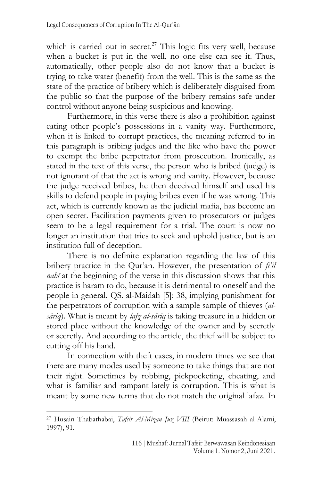which is carried out in secret.<sup>27</sup> This logic fits very well, because when a bucket is put in the well, no one else can see it. Thus, automatically, other people also do not know that a bucket is trying to take water (benefit) from the well. This is the same as the state of the practice of bribery which is deliberately disguised from the public so that the purpose of the bribery remains safe under control without anyone being suspicious and knowing.

Furthermore, in this verse there is also a prohibition against eating other people's possessions in a vanity way. Furthermore, when it is linked to corrupt practices, the meaning referred to in this paragraph is bribing judges and the like who have the power to exempt the bribe perpetrator from prosecution. Ironically, as stated in the text of this verse, the person who is bribed (judge) is not ignorant of that the act is wrong and vanity. However, because the judge received bribes, he then deceived himself and used his skills to defend people in paying bribes even if he was wrong. This act, which is currently known as the judicial mafia, has become an open secret. Facilitation payments given to prosecutors or judges seem to be a legal requirement for a trial. The court is now no longer an institution that tries to seek and uphold justice, but is an institution full of deception.

There is no definite explanation regarding the law of this bribery practice in the Qur'an. However, the presentation of *fi'il nahī* at the beginning of the verse in this discussion shows that this practice is haram to do, because it is detrimental to oneself and the people in general. QS. al-Māidah [5]: 38, implying punishment for the perpetrators of corruption with a sample sample of thieves (*alsāriq*). What is meant by *lafz*} *al-sāriq* is taking treasure in a hidden or stored place without the knowledge of the owner and by secretly or secretly. And according to the article, the thief will be subject to cutting off his hand.

In connection with theft cases, in modern times we see that there are many modes used by someone to take things that are not their right. Sometimes by robbing, pickpocketing, cheating, and what is familiar and rampant lately is corruption. This is what is meant by some new terms that do not match the original lafaz. In

<sup>27</sup> Husain Thabathabai, *Tafsir Al-Mizan Juz VIII* (Beirut: Muassasah al-Alami, 1997), 91.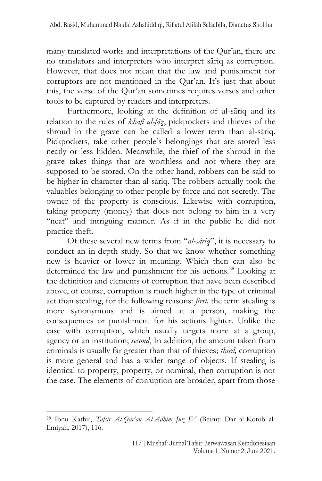many translated works and interpretations of the Qur'an, there are no translators and interpreters who interpret sāriq as corruption. However, that does not mean that the law and punishment for corruptors are not mentioned in the Qur'an. It's just that about this, the verse of the Qur'an sometimes requires verses and other tools to be captured by readers and interpreters.

Furthermore, looking at the definition of al-sāriq and its relation to the rules of *khafī al-fāz*}, pickpockets and thieves of the shroud in the grave can be called a lower term than al-sāriq. Pickpockets, take other people's belongings that are stored less neatly or less hidden. Meanwhile, the thief of the shroud in the grave takes things that are worthless and not where they are supposed to be stored. On the other hand, robbers can be said to be higher in character than al-sāriq. The robbers actually took the valuables belonging to other people by force and not secretly. The owner of the property is conscious. Likewise with corruption, taking property (money) that does not belong to him in a very "neat" and intriguing manner. As if in the public he did not practice theft.

Of these several new terms from "*al-sāriq*", it is necessary to conduct an in-depth study. So that we know whether something new is heavier or lower in meaning. Which then can also be determined the law and punishment for his actions.<sup>28</sup> Looking at the definition and elements of corruption that have been described above, of course, corruption is much higher in the type of criminal act than stealing, for the following reasons: *first,* the term stealing is more synonymous and is aimed at a person, making the consequences or punishment for his actions lighter. Unlike the case with corruption, which usually targets more at a group, agency or an institution; *second*, In addition, the amount taken from criminals is usually far greater than that of thieves; *third,* corruption is more general and has a wider range of objects. If stealing is identical to property, property, or nominal, then corruption is not the case. The elements of corruption are broader, apart from those

<sup>28</sup> Ibnu Kathir, *Tafsir Al-Qur'an Al-Adhim Juz IV* (Beirut: Dar al-Kotob al-Ilmiyah, 2017), 116.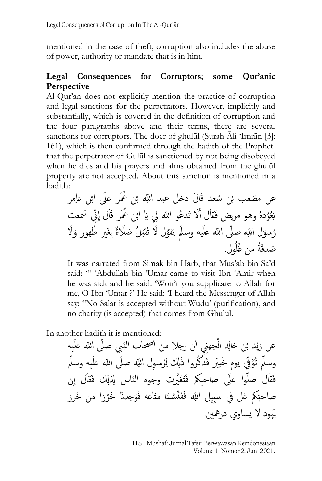mentioned in the case of theft, corruption also includes the abuse of power, authority or mandate that is in him.

### **Legal Consequences for Corruptors; some Qur'anic Perspective**

Al-Qur'an does not explicitly mention the practice of corruption and legal sanctions for the perpetrators. However, implicitly and substantially, which is covered in the definition of corruption and the four paragraphs above and their terms, there are several sanctions for corruptors. The doer of ghulūl (Surah Āli 'Imrān [3]: 161), which is then confirmed through the hadith of the Prophet. that the perpetrator of Gulūl is sanctioned by not being disobeyed when he dies and his prayers and alms obtained from the ghulūl property are not accepted. About this sanction is mentioned in a hadith:

عن مصَعب بْن سْعد قَالَ دخل عبد اللِّه بْن عُمَر علَى ابْن عاِمر ِ ب مُوُدهُ وهو مريض فَقاَل أَلَا تَدعُو اللّه لِي يَا ابْن عُمَر قَال إِنّي سَمعت غِ<br>ح ي رُسوَلِ اللهِ صلّى الله علَيه وسلّم يَقوُل لَا تُقبَلُ صَلَاةٌ بِغَيرٍ طُهورٍ وَلَا ِ<br>أ  $\ddot{\cdot}$ َق َ صَدقَةٌ من غُلُول.

It was narrated from Simak bin Harb, that Mus'ab bin Sa'd said: " 'Abdullah bin 'Umar came to visit Ibn 'Amir when he was sick and he said: 'Won't you supplicate to Allah for me, O Ibn 'Umar ?' He said: 'I heard the Messenger of Allah say: "No Salat is accepted without Wudu' (purification), and no charity (is accepted) that comes from Ghulul.

In another hadith it is mentioned:

عن زيْد بْن خالِد الْجهنِي أن رجلا من أصحاب النِّبي صلَّى الله عَلَيِه َ وسلّم تُوَّقِيَ يوم خْيبَر فَذْكُروا ذَلِك لِرُسوِل اللّهِ صلّى الله علَيه وسلّم ِ<br>ا ;<br>∶' فَقال صلُّوا عَلَى صاحبِكم فَتَغَيَّرت وجوه النّاس لِذلِك فَقال إِن ِغ صاحبَكم غل في سبِيِل الله فَفتَّشـنَا متَاعه فَوَجدنَا خَرَزا من خَرز َُّيود ال يساوي درُهني.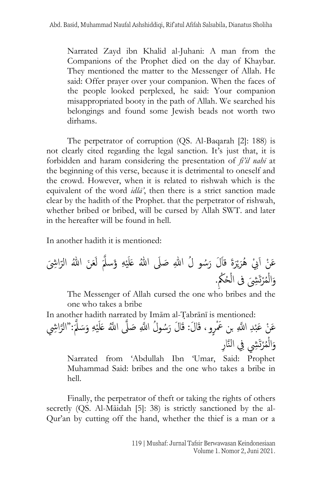Narrated Zayd ibn Khalid al-Juhani: A man from the Companions of the Prophet died on the day of Khaybar. They mentioned the matter to the Messenger of Allah. He said: Offer prayer over your companion. When the faces of the people looked perplexed, he said: Your companion misappropriated booty in the path of Allah. We searched his belongings and found some Jewish beads not worth two dirhams.

The perpetrator of corruption (QS. Al-Baqarah [2]: 188) is not clearly cited regarding the legal sanction. It's just that, it is forbidden and haram considering the presentation of *fi'il nahī* at the beginning of this verse, because it is detrimental to oneself and the crowd. However, when it is related to rishwah which is the equivalent of the word *idlā'*, then there is a strict sanction made clear by the hadith of the Prophet. that the perpetrator of rishwah, whether bribed or bribed, will be cursed by Allah SWT. and later in the hereafter will be found in hell.

In another hadith it is mentioned:

ْ ي َ ْيب ُهر َع ْن اَ ْهِ ي َ َ ُسو ُل ِهللا َصَىل ُهللا عَل َ َل ر َة قا َِش َ ى ر اِ َع َن ُهللا الر َ َؤسَّّلَ ل ُ ْرتَ ِشَ م ْ ال َ ُحُْكِ و ْ ىف ال .

The Messenger of Allah cursed the one who bribes and the one who takes a bribe

In another hadith narrated by Imām al-T}abrānī is mentioned:

عَنْ عَبْدِ اللَّهِ بن عَمْرٍو ، قَالَ: قَالَ رَسُولُ اللَّهِ صَلَّى اللَّهُ عَلَيْهِ وَسَلَّمَ:"الرَّاشِي **ٔ** ي َ َّ وَالْمُرْتَشِي فِي النَّارِ ْ َ

Narrated from 'Abdullah Ibn 'Umar, Said: Prophet Muhammad Said: bribes and the one who takes a bribe in hell.

Finally, the perpetrator of theft or taking the rights of others secretly (QS. Al-Māidah [5]: 38) is strictly sanctioned by the al-Qur'an by cutting off the hand, whether the thief is a man or a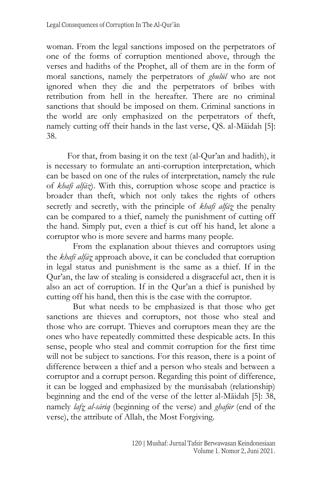woman. From the legal sanctions imposed on the perpetrators of one of the forms of corruption mentioned above, through the verses and hadiths of the Prophet, all of them are in the form of moral sanctions, namely the perpetrators of *ghulūl* who are not ignored when they die and the perpetrators of bribes with retribution from hell in the hereafter. There are no criminal sanctions that should be imposed on them. Criminal sanctions in the world are only emphasized on the perpetrators of theft, namely cutting off their hands in the last verse, QS. al-Māidah [5]: 38.

For that, from basing it on the text (al-Qur'an and hadith), it is necessary to formulate an anti-corruption interpretation, which can be based on one of the rules of interpretation, namely the rule of *khafī alfāz*). With this, corruption whose scope and practice is broader than theft, which not only takes the rights of others secretly and secretly, with the principle of *khafī alfāz* the penalty can be compared to a thief, namely the punishment of cutting off the hand. Simply put, even a thief is cut off his hand, let alone a corruptor who is more severe and harms many people.

From the explanation about thieves and corruptors using the *khafī alfāz*} approach above, it can be concluded that corruption in legal status and punishment is the same as a thief. If in the Qur'an, the law of stealing is considered a disgraceful act, then it is also an act of corruption. If in the Qur'an a thief is punished by cutting off his hand, then this is the case with the corruptor.

But what needs to be emphasized is that those who get sanctions are thieves and corruptors, not those who steal and those who are corrupt. Thieves and corruptors mean they are the ones who have repeatedly committed these despicable acts. In this sense, people who steal and commit corruption for the first time will not be subject to sanctions. For this reason, there is a point of difference between a thief and a person who steals and between a corruptor and a corrupt person. Regarding this point of difference, it can be logged and emphasized by the munāsabah (relationship) beginning and the end of the verse of the letter al-Māidah [5]: 38, namely *lafz*} *al-sāriq* (beginning of the verse) and *ghafūr* (end of the verse), the attribute of Allah, the Most Forgiving.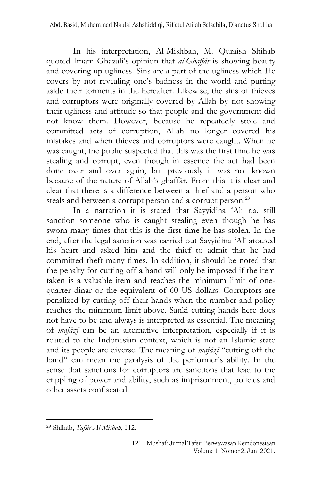In his interpretation, Al-Mishbah, M. Quraish Shihab quoted Imam Ghazali's opinion that *al-Ghaffār* is showing beauty and covering up ugliness. Sins are a part of the ugliness which He covers by not revealing one's badness in the world and putting aside their torments in the hereafter. Likewise, the sins of thieves and corruptors were originally covered by Allah by not showing their ugliness and attitude so that people and the government did not know them. However, because he repeatedly stole and committed acts of corruption, Allah no longer covered his mistakes and when thieves and corruptors were caught. When he was caught, the public suspected that this was the first time he was stealing and corrupt, even though in essence the act had been done over and over again, but previously it was not known because of the nature of Allah's ghaffār. From this it is clear and clear that there is a difference between a thief and a person who steals and between a corrupt person and a corrupt person.<sup>29</sup>

In a narration it is stated that Sayyidina 'Alī r.a. still sanction someone who is caught stealing even though he has sworn many times that this is the first time he has stolen. In the end, after the legal sanction was carried out Sayyidina 'Alī aroused his heart and asked him and the thief to admit that he had committed theft many times. In addition, it should be noted that the penalty for cutting off a hand will only be imposed if the item taken is a valuable item and reaches the minimum limit of onequarter dinar or the equivalent of 60 US dollars. Corruptors are penalized by cutting off their hands when the number and policy reaches the minimum limit above. Sanki cutting hands here does not have to be and always is interpreted as essential. The meaning of *majāzī* can be an alternative interpretation, especially if it is related to the Indonesian context, which is not an Islamic state and its people are diverse. The meaning of *majāzī* "cutting off the hand" can mean the paralysis of the performer's ability. In the sense that sanctions for corruptors are sanctions that lead to the crippling of power and ability, such as imprisonment, policies and other assets confiscated.

<sup>29</sup> Shihab, *Tafsir Al-Misbah*, 112.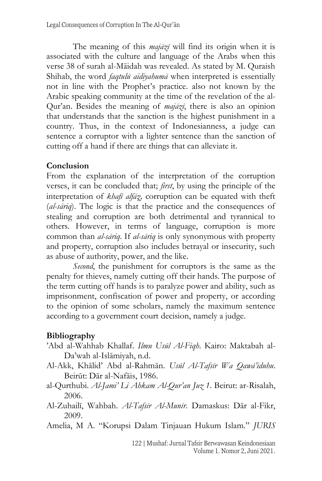The meaning of this *majāzī* will find its origin when it is associated with the culture and language of the Arabs when this verse 38 of surah al-Māidah was revealed. As stated by M. Quraish Shihab, the word *faqtulū aidiyahumā* when interpreted is essentially not in line with the Prophet's practice. also not known by the Arabic speaking community at the time of the revelation of the al-Qur'an. Besides the meaning of *majāzī*, there is also an opinion that understands that the sanction is the highest punishment in a country. Thus, in the context of Indonesianness, a judge can sentence a corruptor with a lighter sentence than the sanction of cutting off a hand if there are things that can alleviate it.

### **Conclusion**

From the explanation of the interpretation of the corruption verses, it can be concluded that; *first*, by using the principle of the interpretation of *khafī alfāz*}*,* corruption can be equated with theft (*al-sāriq*). The logic is that the practice and the consequences of stealing and corruption are both detrimental and tyrannical to others. However, in terms of language, corruption is more common than *al-sāriq*. If *al-sāriq* is only synonymous with property and property, corruption also includes betrayal or insecurity, such as abuse of authority, power, and the like.

*Second*, the punishment for corruptors is the same as the penalty for thieves, namely cutting off their hands. The purpose of the term cutting off hands is to paralyze power and ability, such as imprisonment, confiscation of power and property, or according to the opinion of some scholars, namely the maximum sentence according to a government court decision, namely a judge.

### **Bibliography**

- 'Abd al-Wahhab Khallaf. *Ilmu Usūl Al-Fiqh*. Kairo: Maktabah al-Da'wah al-Islāmiyah, n.d.
- Al-Akk, Khālid' Abd al-Rahmān. *Usūl Al-Tafsīr Wa Qawā'iduhu*. Beirūt: Dār al-Nafāis, 1986.
- al-Qurthubi. *Al-Jami' Li Ahkam Al-Qur'an Juz 1*. Beirut: ar-Risalah, 2006.
- Al-Zuhailī, Wahbah. *Al-Tafsīr Al-Munīr*. Damaskus: Dār al-Fikr, 2009.
- Amelia, M A. "Korupsi Dalam Tinjauan Hukum Islam." *JURIS*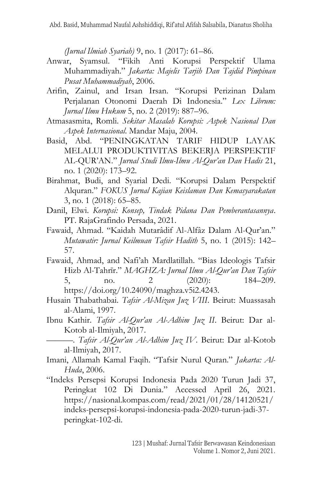*(Jurnal Ilmiah Syariah)* 9, no. 1 (2017): 61–86.

- Anwar, Syamsul. "Fikih Anti Korupsi Perspektif Ulama Muhammadiyah." *Jakarta: Majelis Tarjih Dan Tajdid Pimpinan Pusat Muhammadiyah*, 2006.
- Arifin, Zainul, and Irsan Irsan. "Korupsi Perizinan Dalam Perjalanan Otonomi Daerah Di Indonesia." *Lex Librum: Jurnal Ilmu Hukum* 5, no. 2 (2019): 887–96.
- Atmasasmita, Romli. *Sekitar Masalah Korupsi: Aspek Nasional Dan Aspek Internasional*. Mandar Maju, 2004.
- Basid, Abd. "PENINGKATAN TARIF HIDUP LAYAK MELALUI PRODUKTIVITAS BEKERJA PERSPEKTIF AL-QUR'AN." *Jurnal Studi Ilmu-Ilmu Al-Qur'an Dan Hadis* 21, no. 1 (2020): 173–92.
- Birahmat, Budi, and Syarial Dedi. "Korupsi Dalam Perspektif Alquran." *FOKUS Jurnal Kajian Keislaman Dan Kemasyarakatan* 3, no. 1 (2018): 65–85.
- Danil, Elwi. *Korupsi: Konsep, Tindak Pidana Dan Pemberantasannya*. PT. RajaGrafindo Persada, 2021.
- Fawaid, Ahmad. "Kaidah Mutarâdif Al-Alfâz Dalam Al-Qur'an." *Mutawatir: Jurnal Keilmuan Tafsir Hadith* 5, no. 1 (2015): 142– 57.
- Fawaid, Ahmad, and Nafi'ah Mardlatillah. "Bias Ideologis Tafsir Hizb Al-Tahrīr." *MAGHZA: Jurnal Ilmu Al-Qur'an Dan Tafsir* 5, no. 2 (2020): 184–209. https://doi.org/10.24090/maghza.v5i2.4243.
- Husain Thabathabai. *Tafsir Al-Mizan Juz VIII*. Beirut: Muassasah al-Alami, 1997.
- Ibnu Kathir. *Tafsir Al-Qur'an Al-Adhim Juz II*. Beirut: Dar al-Kotob al-Ilmiyah, 2017.
	- ———. *Tafsir Al-Qur'an Al-Adhim Juz IV*. Beirut: Dar al-Kotob al-Ilmiyah, 2017.
- Imani, Allamah Kamal Faqih. "Tafsir Nurul Quran." *Jakarta: Al-Huda*, 2006.
- "Indeks Persepsi Korupsi Indonesia Pada 2020 Turun Jadi 37, Peringkat 102 Di Dunia." Accessed April 26, 2021. https://nasional.kompas.com/read/2021/01/28/14120521/ indeks-persepsi-korupsi-indonesia-pada-2020-turun-jadi-37 peringkat-102-di.